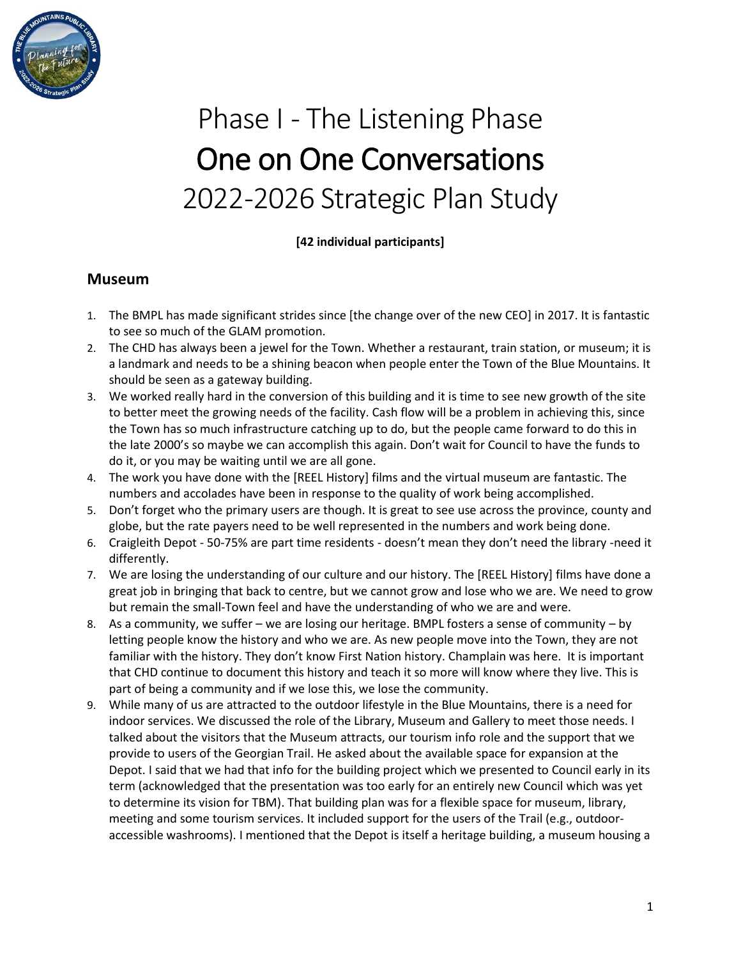

# Phase I - The Listening Phase One on One Conversations 2022-2026 Strategic Plan Study

**[42 individual participants]**

#### **Museum**

- 1. The BMPL has made significant strides since [the change over of the new CEO] in 2017. It is fantastic to see so much of the GLAM promotion.
- 2. The CHD has always been a jewel for the Town. Whether a restaurant, train station, or museum; it is a landmark and needs to be a shining beacon when people enter the Town of the Blue Mountains. It should be seen as a gateway building.
- 3. We worked really hard in the conversion of this building and it is time to see new growth of the site to better meet the growing needs of the facility. Cash flow will be a problem in achieving this, since the Town has so much infrastructure catching up to do, but the people came forward to do this in the late 2000's so maybe we can accomplish this again. Don't wait for Council to have the funds to do it, or you may be waiting until we are all gone.
- 4. The work you have done with the [REEL History] films and the virtual museum are fantastic. The numbers and accolades have been in response to the quality of work being accomplished.
- 5. Don't forget who the primary users are though. It is great to see use across the province, county and globe, but the rate payers need to be well represented in the numbers and work being done.
- 6. Craigleith Depot 50-75% are part time residents doesn't mean they don't need the library -need it differently.
- 7. We are losing the understanding of our culture and our history. The [REEL History] films have done a great job in bringing that back to centre, but we cannot grow and lose who we are. We need to grow but remain the small-Town feel and have the understanding of who we are and were.
- 8. As a community, we suffer we are losing our heritage. BMPL fosters a sense of community by letting people know the history and who we are. As new people move into the Town, they are not familiar with the history. They don't know First Nation history. Champlain was here. It is important that CHD continue to document this history and teach it so more will know where they live. This is part of being a community and if we lose this, we lose the community.
- 9. While many of us are attracted to the outdoor lifestyle in the Blue Mountains, there is a need for indoor services. We discussed the role of the Library, Museum and Gallery to meet those needs. I talked about the visitors that the Museum attracts, our tourism info role and the support that we provide to users of the Georgian Trail. He asked about the available space for expansion at the Depot. I said that we had that info for the building project which we presented to Council early in its term (acknowledged that the presentation was too early for an entirely new Council which was yet to determine its vision for TBM). That building plan was for a flexible space for museum, library, meeting and some tourism services. It included support for the users of the Trail (e.g., outdooraccessible washrooms). I mentioned that the Depot is itself a heritage building, a museum housing a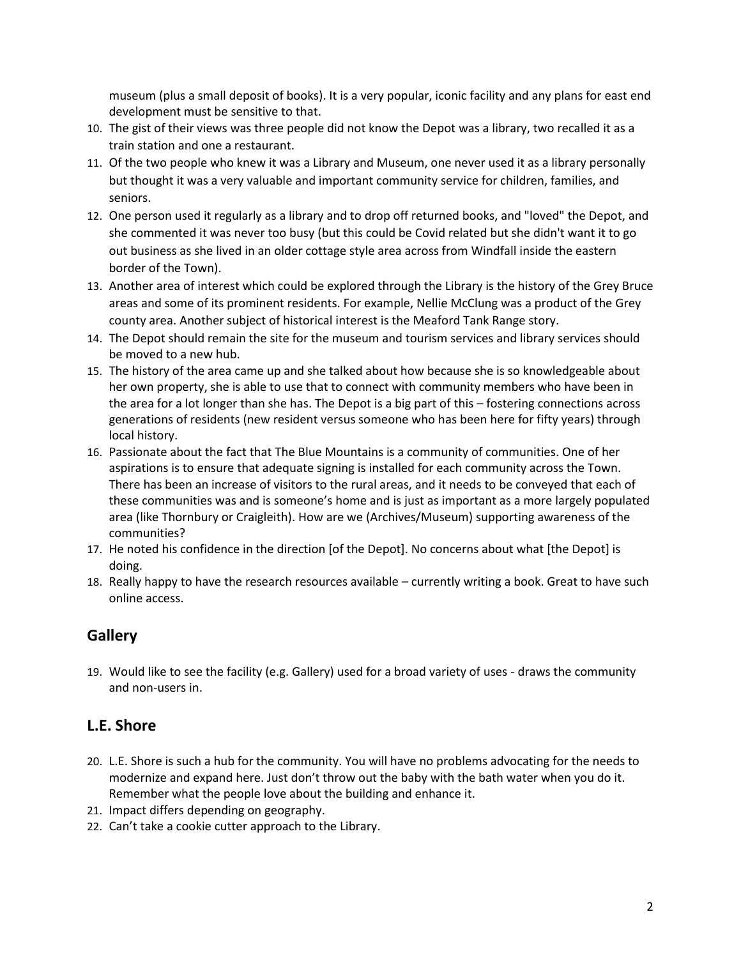museum (plus a small deposit of books). It is a very popular, iconic facility and any plans for east end development must be sensitive to that.

- 10. The gist of their views was three people did not know the Depot was a library, two recalled it as a train station and one a restaurant.
- 11. Of the two people who knew it was a Library and Museum, one never used it as a library personally but thought it was a very valuable and important community service for children, families, and seniors.
- 12. One person used it regularly as a library and to drop off returned books, and "loved" the Depot, and she commented it was never too busy (but this could be Covid related but she didn't want it to go out business as she lived in an older cottage style area across from Windfall inside the eastern border of the Town).
- 13. Another area of interest which could be explored through the Library is the history of the Grey Bruce areas and some of its prominent residents. For example, Nellie McClung was a product of the Grey county area. Another subject of historical interest is the Meaford Tank Range story.
- 14. The Depot should remain the site for the museum and tourism services and library services should be moved to a new hub.
- 15. The history of the area came up and she talked about how because she is so knowledgeable about her own property, she is able to use that to connect with community members who have been in the area for a lot longer than she has. The Depot is a big part of this – fostering connections across generations of residents (new resident versus someone who has been here for fifty years) through local history.
- 16. Passionate about the fact that The Blue Mountains is a community of communities. One of her aspirations is to ensure that adequate signing is installed for each community across the Town. There has been an increase of visitors to the rural areas, and it needs to be conveyed that each of these communities was and is someone's home and is just as important as a more largely populated area (like Thornbury or Craigleith). How are we (Archives/Museum) supporting awareness of the communities?
- 17. He noted his confidence in the direction [of the Depot]. No concerns about what [the Depot] is doing.
- 18. Really happy to have the research resources available currently writing a book. Great to have such online access.

# **Gallery**

19. Would like to see the facility (e.g. Gallery) used for a broad variety of uses - draws the community and non-users in.

### **L.E. Shore**

- 20. L.E. Shore is such a hub for the community. You will have no problems advocating for the needs to modernize and expand here. Just don't throw out the baby with the bath water when you do it. Remember what the people love about the building and enhance it.
- 21. Impact differs depending on geography.
- 22. Can't take a cookie cutter approach to the Library.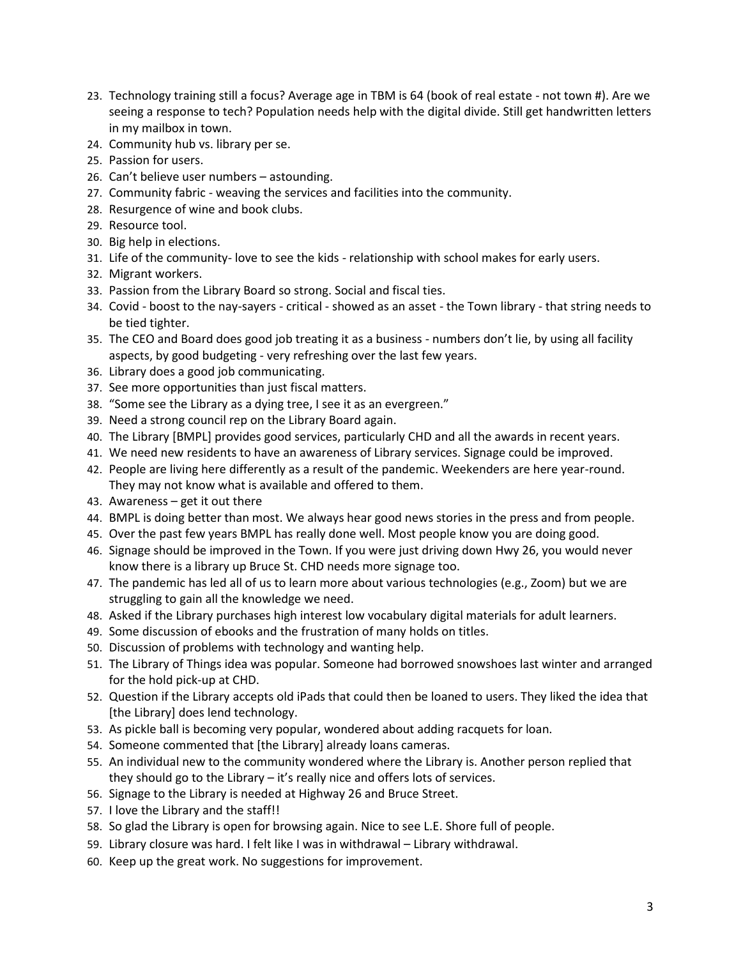- 23. Technology training still a focus? Average age in TBM is 64 (book of real estate not town #). Are we seeing a response to tech? Population needs help with the digital divide. Still get handwritten letters in my mailbox in town.
- 24. Community hub vs. library per se.
- 25. Passion for users.
- 26. Can't believe user numbers astounding.
- 27. Community fabric weaving the services and facilities into the community.
- 28. Resurgence of wine and book clubs.
- 29. Resource tool.
- 30. Big help in elections.
- 31. Life of the community- love to see the kids relationship with school makes for early users.
- 32. Migrant workers.
- 33. Passion from the Library Board so strong. Social and fiscal ties.
- 34. Covid boost to the nay-sayers critical showed as an asset the Town library that string needs to be tied tighter.
- 35. The CEO and Board does good job treating it as a business numbers don't lie, by using all facility aspects, by good budgeting - very refreshing over the last few years.
- 36. Library does a good job communicating.
- 37. See more opportunities than just fiscal matters.
- 38. "Some see the Library as a dying tree, I see it as an evergreen."
- 39. Need a strong council rep on the Library Board again.
- 40. The Library [BMPL] provides good services, particularly CHD and all the awards in recent years.
- 41. We need new residents to have an awareness of Library services. Signage could be improved.
- 42. People are living here differently as a result of the pandemic. Weekenders are here year-round. They may not know what is available and offered to them.
- 43. Awareness get it out there
- 44. BMPL is doing better than most. We always hear good news stories in the press and from people.
- 45. Over the past few years BMPL has really done well. Most people know you are doing good.
- 46. Signage should be improved in the Town. If you were just driving down Hwy 26, you would never know there is a library up Bruce St. CHD needs more signage too.
- 47. The pandemic has led all of us to learn more about various technologies (e.g., Zoom) but we are struggling to gain all the knowledge we need.
- 48. Asked if the Library purchases high interest low vocabulary digital materials for adult learners.
- 49. Some discussion of ebooks and the frustration of many holds on titles.
- 50. Discussion of problems with technology and wanting help.
- 51. The Library of Things idea was popular. Someone had borrowed snowshoes last winter and arranged for the hold pick-up at CHD.
- 52. Question if the Library accepts old iPads that could then be loaned to users. They liked the idea that [the Library] does lend technology.
- 53. As pickle ball is becoming very popular, wondered about adding racquets for loan.
- 54. Someone commented that [the Library] already loans cameras.
- 55. An individual new to the community wondered where the Library is. Another person replied that they should go to the Library – it's really nice and offers lots of services.
- 56. Signage to the Library is needed at Highway 26 and Bruce Street.
- 57. I love the Library and the staff!!
- 58. So glad the Library is open for browsing again. Nice to see L.E. Shore full of people.
- 59. Library closure was hard. I felt like I was in withdrawal Library withdrawal.
- 60. Keep up the great work. No suggestions for improvement.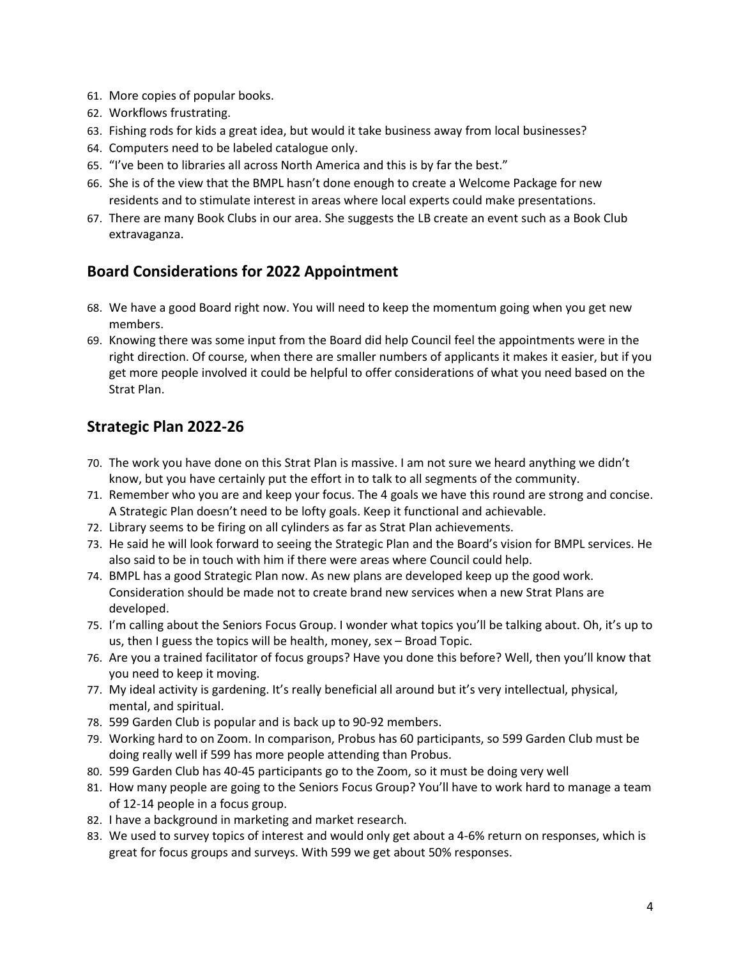- 61. More copies of popular books.
- 62. Workflows frustrating.
- 63. Fishing rods for kids a great idea, but would it take business away from local businesses?
- 64. Computers need to be labeled catalogue only.
- 65. "I've been to libraries all across North America and this is by far the best."
- 66. She is of the view that the BMPL hasn't done enough to create a Welcome Package for new residents and to stimulate interest in areas where local experts could make presentations.
- 67. There are many Book Clubs in our area. She suggests the LB create an event such as a Book Club extravaganza.

#### **Board Considerations for 2022 Appointment**

- 68. We have a good Board right now. You will need to keep the momentum going when you get new members.
- 69. Knowing there was some input from the Board did help Council feel the appointments were in the right direction. Of course, when there are smaller numbers of applicants it makes it easier, but if you get more people involved it could be helpful to offer considerations of what you need based on the Strat Plan.

### **Strategic Plan 2022-26**

- 70. The work you have done on this Strat Plan is massive. I am not sure we heard anything we didn't know, but you have certainly put the effort in to talk to all segments of the community.
- 71. Remember who you are and keep your focus. The 4 goals we have this round are strong and concise. A Strategic Plan doesn't need to be lofty goals. Keep it functional and achievable.
- 72. Library seems to be firing on all cylinders as far as Strat Plan achievements.
- 73. He said he will look forward to seeing the Strategic Plan and the Board's vision for BMPL services. He also said to be in touch with him if there were areas where Council could help.
- 74. BMPL has a good Strategic Plan now. As new plans are developed keep up the good work. Consideration should be made not to create brand new services when a new Strat Plans are developed.
- 75. I'm calling about the Seniors Focus Group. I wonder what topics you'll be talking about. Oh, it's up to us, then I guess the topics will be health, money, sex – Broad Topic.
- 76. Are you a trained facilitator of focus groups? Have you done this before? Well, then you'll know that you need to keep it moving.
- 77. My ideal activity is gardening. It's really beneficial all around but it's very intellectual, physical, mental, and spiritual.
- 78. 599 Garden Club is popular and is back up to 90-92 members.
- 79. Working hard to on Zoom. In comparison, Probus has 60 participants, so 599 Garden Club must be doing really well if 599 has more people attending than Probus.
- 80. 599 Garden Club has 40-45 participants go to the Zoom, so it must be doing very well
- 81. How many people are going to the Seniors Focus Group? You'll have to work hard to manage a team of 12-14 people in a focus group.
- 82. I have a background in marketing and market research.
- 83. We used to survey topics of interest and would only get about a 4-6% return on responses, which is great for focus groups and surveys. With 599 we get about 50% responses.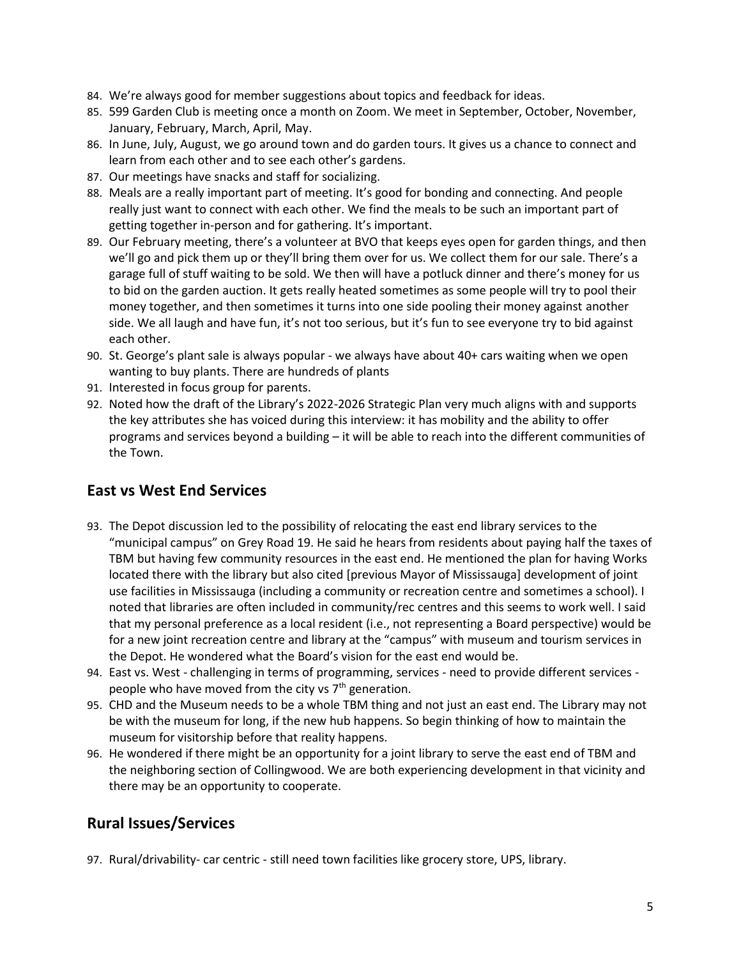- 84. We're always good for member suggestions about topics and feedback for ideas.
- 85. 599 Garden Club is meeting once a month on Zoom. We meet in September, October, November, January, February, March, April, May.
- 86. In June, July, August, we go around town and do garden tours. It gives us a chance to connect and learn from each other and to see each other's gardens.
- 87. Our meetings have snacks and staff for socializing.
- 88. Meals are a really important part of meeting. It's good for bonding and connecting. And people really just want to connect with each other. We find the meals to be such an important part of getting together in-person and for gathering. It's important.
- 89. Our February meeting, there's a volunteer at BVO that keeps eyes open for garden things, and then we'll go and pick them up or they'll bring them over for us. We collect them for our sale. There's a garage full of stuff waiting to be sold. We then will have a potluck dinner and there's money for us to bid on the garden auction. It gets really heated sometimes as some people will try to pool their money together, and then sometimes it turns into one side pooling their money against another side. We all laugh and have fun, it's not too serious, but it's fun to see everyone try to bid against each other.
- 90. St. George's plant sale is always popular we always have about 40+ cars waiting when we open wanting to buy plants. There are hundreds of plants
- 91. Interested in focus group for parents.
- 92. Noted how the draft of the Library's 2022-2026 Strategic Plan very much aligns with and supports the key attributes she has voiced during this interview: it has mobility and the ability to offer programs and services beyond a building – it will be able to reach into the different communities of the Town.

### **East vs West End Services**

- 93. The Depot discussion led to the possibility of relocating the east end library services to the "municipal campus" on Grey Road 19. He said he hears from residents about paying half the taxes of TBM but having few community resources in the east end. He mentioned the plan for having Works located there with the library but also cited [previous Mayor of Mississauga] development of joint use facilities in Mississauga (including a community or recreation centre and sometimes a school). I noted that libraries are often included in community/rec centres and this seems to work well. I said that my personal preference as a local resident (i.e., not representing a Board perspective) would be for a new joint recreation centre and library at the "campus" with museum and tourism services in the Depot. He wondered what the Board's vision for the east end would be.
- 94. East vs. West challenging in terms of programming, services need to provide different services people who have moved from the city vs 7<sup>th</sup> generation.
- 95. CHD and the Museum needs to be a whole TBM thing and not just an east end. The Library may not be with the museum for long, if the new hub happens. So begin thinking of how to maintain the museum for visitorship before that reality happens.
- 96. He wondered if there might be an opportunity for a joint library to serve the east end of TBM and the neighboring section of Collingwood. We are both experiencing development in that vicinity and there may be an opportunity to cooperate.

### **Rural Issues/Services**

97. Rural/drivability- car centric - still need town facilities like grocery store, UPS, library.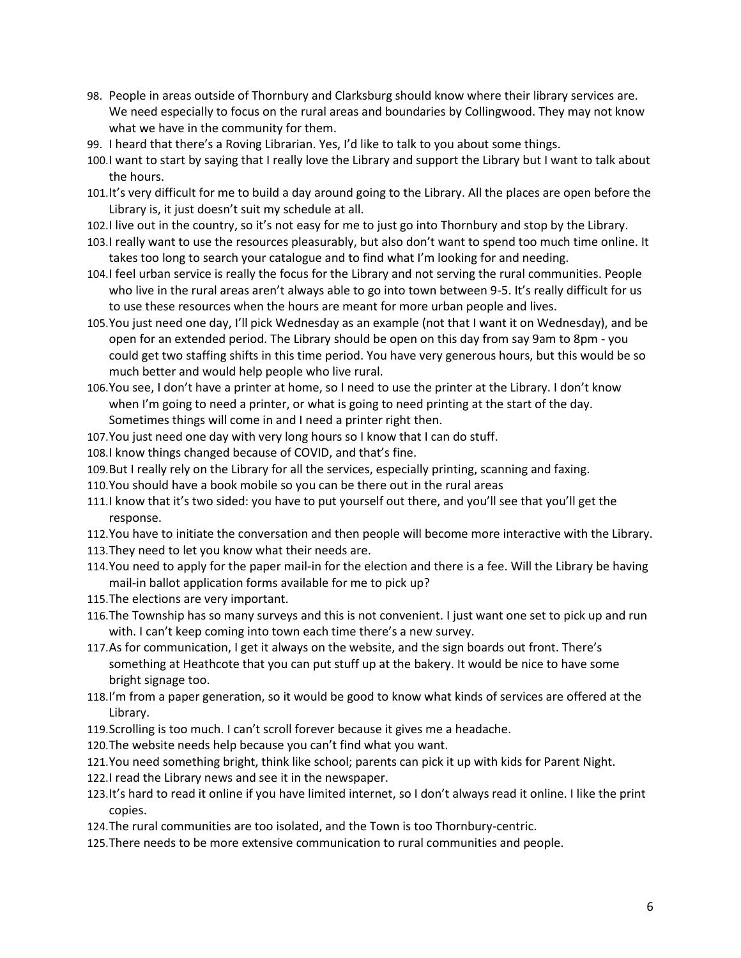- 98. People in areas outside of Thornbury and Clarksburg should know where their library services are. We need especially to focus on the rural areas and boundaries by Collingwood. They may not know what we have in the community for them.
- 99. I heard that there's a Roving Librarian. Yes, I'd like to talk to you about some things.
- 100.I want to start by saying that I really love the Library and support the Library but I want to talk about the hours.
- 101.It's very difficult for me to build a day around going to the Library. All the places are open before the Library is, it just doesn't suit my schedule at all.
- 102.I live out in the country, so it's not easy for me to just go into Thornbury and stop by the Library.
- 103.I really want to use the resources pleasurably, but also don't want to spend too much time online. It takes too long to search your catalogue and to find what I'm looking for and needing.
- 104.I feel urban service is really the focus for the Library and not serving the rural communities. People who live in the rural areas aren't always able to go into town between 9-5. It's really difficult for us to use these resources when the hours are meant for more urban people and lives.
- 105.You just need one day, I'll pick Wednesday as an example (not that I want it on Wednesday), and be open for an extended period. The Library should be open on this day from say 9am to 8pm - you could get two staffing shifts in this time period. You have very generous hours, but this would be so much better and would help people who live rural.
- 106.You see, I don't have a printer at home, so I need to use the printer at the Library. I don't know when I'm going to need a printer, or what is going to need printing at the start of the day. Sometimes things will come in and I need a printer right then.
- 107.You just need one day with very long hours so I know that I can do stuff.
- 108.I know things changed because of COVID, and that's fine.
- 109.But I really rely on the Library for all the services, especially printing, scanning and faxing.
- 110.You should have a book mobile so you can be there out in the rural areas
- 111.I know that it's two sided: you have to put yourself out there, and you'll see that you'll get the response.
- 112.You have to initiate the conversation and then people will become more interactive with the Library.
- 113.They need to let you know what their needs are.
- 114.You need to apply for the paper mail-in for the election and there is a fee. Will the Library be having mail-in ballot application forms available for me to pick up?
- 115.The elections are very important.
- 116.The Township has so many surveys and this is not convenient. I just want one set to pick up and run with. I can't keep coming into town each time there's a new survey.
- 117.As for communication, I get it always on the website, and the sign boards out front. There's something at Heathcote that you can put stuff up at the bakery. It would be nice to have some bright signage too.
- 118.I'm from a paper generation, so it would be good to know what kinds of services are offered at the Library.
- 119.Scrolling is too much. I can't scroll forever because it gives me a headache.
- 120.The website needs help because you can't find what you want.
- 121.You need something bright, think like school; parents can pick it up with kids for Parent Night.
- 122.I read the Library news and see it in the newspaper.
- 123.It's hard to read it online if you have limited internet, so I don't always read it online. I like the print copies.
- 124.The rural communities are too isolated, and the Town is too Thornbury-centric.
- 125.There needs to be more extensive communication to rural communities and people.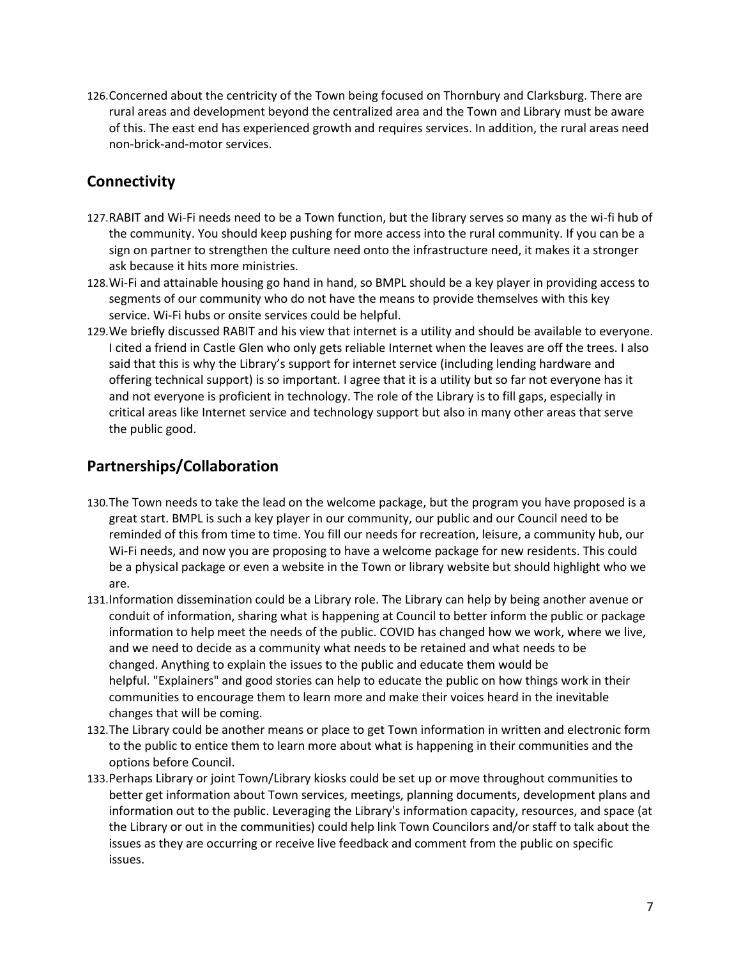126.Concerned about the centricity of the Town being focused on Thornbury and Clarksburg. There are rural areas and development beyond the centralized area and the Town and Library must be aware of this. The east end has experienced growth and requires services. In addition, the rural areas need non-brick-and-motor services.

## **Connectivity**

- 127.RABIT and Wi-Fi needs need to be a Town function, but the library serves so many as the wi-fi hub of the community. You should keep pushing for more access into the rural community. If you can be a sign on partner to strengthen the culture need onto the infrastructure need, it makes it a stronger ask because it hits more ministries.
- 128.Wi-Fi and attainable housing go hand in hand, so BMPL should be a key player in providing access to segments of our community who do not have the means to provide themselves with this key service. Wi-Fi hubs or onsite services could be helpful.
- 129.We briefly discussed RABIT and his view that internet is a utility and should be available to everyone. I cited a friend in Castle Glen who only gets reliable Internet when the leaves are off the trees. I also said that this is why the Library's support for internet service (including lending hardware and offering technical support) is so important. I agree that it is a utility but so far not everyone has it and not everyone is proficient in technology. The role of the Library is to fill gaps, especially in critical areas like Internet service and technology support but also in many other areas that serve the public good.

### **Partnerships/Collaboration**

- 130.The Town needs to take the lead on the welcome package, but the program you have proposed is a great start. BMPL is such a key player in our community, our public and our Council need to be reminded of this from time to time. You fill our needs for recreation, leisure, a community hub, our Wi-Fi needs, and now you are proposing to have a welcome package for new residents. This could be a physical package or even a website in the Town or library website but should highlight who we are.
- 131.Information dissemination could be a Library role. The Library can help by being another avenue or conduit of information, sharing what is happening at Council to better inform the public or package information to help meet the needs of the public. COVID has changed how we work, where we live, and we need to decide as a community what needs to be retained and what needs to be changed. Anything to explain the issues to the public and educate them would be helpful. "Explainers" and good stories can help to educate the public on how things work in their communities to encourage them to learn more and make their voices heard in the inevitable changes that will be coming.
- 132.The Library could be another means or place to get Town information in written and electronic form to the public to entice them to learn more about what is happening in their communities and the options before Council.
- 133.Perhaps Library or joint Town/Library kiosks could be set up or move throughout communities to better get information about Town services, meetings, planning documents, development plans and information out to the public. Leveraging the Library's information capacity, resources, and space (at the Library or out in the communities) could help link Town Councilors and/or staff to talk about the issues as they are occurring or receive live feedback and comment from the public on specific issues.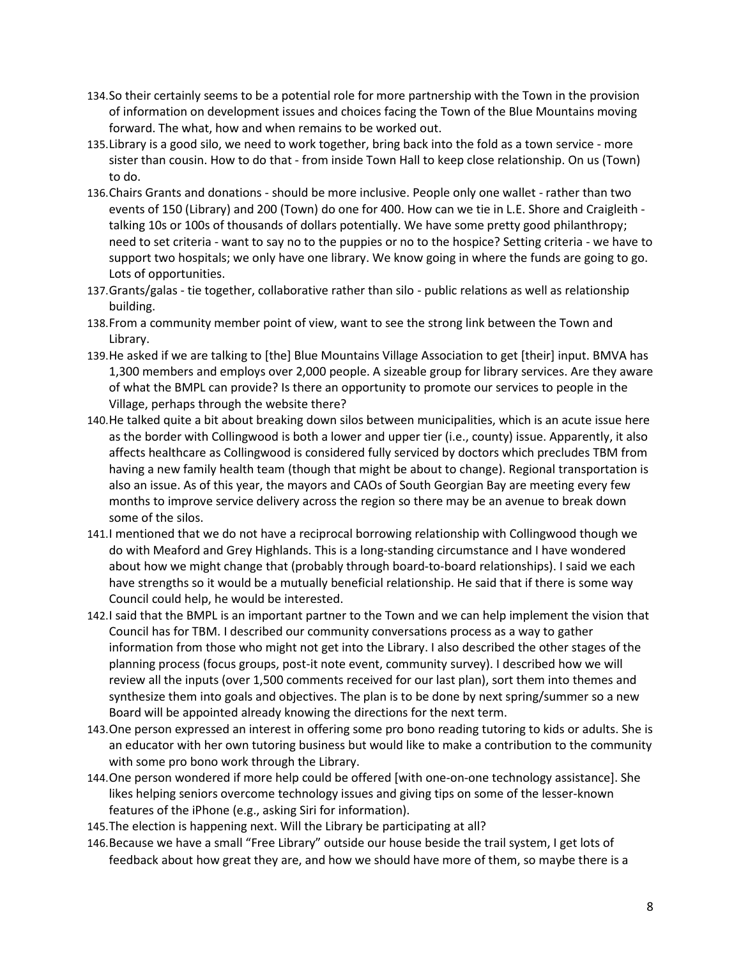- 134.So their certainly seems to be a potential role for more partnership with the Town in the provision of information on development issues and choices facing the Town of the Blue Mountains moving forward. The what, how and when remains to be worked out.
- 135.Library is a good silo, we need to work together, bring back into the fold as a town service more sister than cousin. How to do that - from inside Town Hall to keep close relationship. On us (Town) to do.
- 136.Chairs Grants and donations should be more inclusive. People only one wallet rather than two events of 150 (Library) and 200 (Town) do one for 400. How can we tie in L.E. Shore and Craigleith talking 10s or 100s of thousands of dollars potentially. We have some pretty good philanthropy; need to set criteria - want to say no to the puppies or no to the hospice? Setting criteria - we have to support two hospitals; we only have one library. We know going in where the funds are going to go. Lots of opportunities.
- 137.Grants/galas tie together, collaborative rather than silo public relations as well as relationship building.
- 138.From a community member point of view, want to see the strong link between the Town and Library.
- 139.He asked if we are talking to [the] Blue Mountains Village Association to get [their] input. BMVA has 1,300 members and employs over 2,000 people. A sizeable group for library services. Are they aware of what the BMPL can provide? Is there an opportunity to promote our services to people in the Village, perhaps through the website there?
- 140.He talked quite a bit about breaking down silos between municipalities, which is an acute issue here as the border with Collingwood is both a lower and upper tier (i.e., county) issue. Apparently, it also affects healthcare as Collingwood is considered fully serviced by doctors which precludes TBM from having a new family health team (though that might be about to change). Regional transportation is also an issue. As of this year, the mayors and CAOs of South Georgian Bay are meeting every few months to improve service delivery across the region so there may be an avenue to break down some of the silos.
- 141.I mentioned that we do not have a reciprocal borrowing relationship with Collingwood though we do with Meaford and Grey Highlands. This is a long-standing circumstance and I have wondered about how we might change that (probably through board-to-board relationships). I said we each have strengths so it would be a mutually beneficial relationship. He said that if there is some way Council could help, he would be interested.
- 142.I said that the BMPL is an important partner to the Town and we can help implement the vision that Council has for TBM. I described our community conversations process as a way to gather information from those who might not get into the Library. I also described the other stages of the planning process (focus groups, post-it note event, community survey). I described how we will review all the inputs (over 1,500 comments received for our last plan), sort them into themes and synthesize them into goals and objectives. The plan is to be done by next spring/summer so a new Board will be appointed already knowing the directions for the next term.
- 143.One person expressed an interest in offering some pro bono reading tutoring to kids or adults. She is an educator with her own tutoring business but would like to make a contribution to the community with some pro bono work through the Library.
- 144.One person wondered if more help could be offered [with one-on-one technology assistance]. She likes helping seniors overcome technology issues and giving tips on some of the lesser-known features of the iPhone (e.g., asking Siri for information).
- 145.The election is happening next. Will the Library be participating at all?
- 146.Because we have a small "Free Library" outside our house beside the trail system, I get lots of feedback about how great they are, and how we should have more of them, so maybe there is a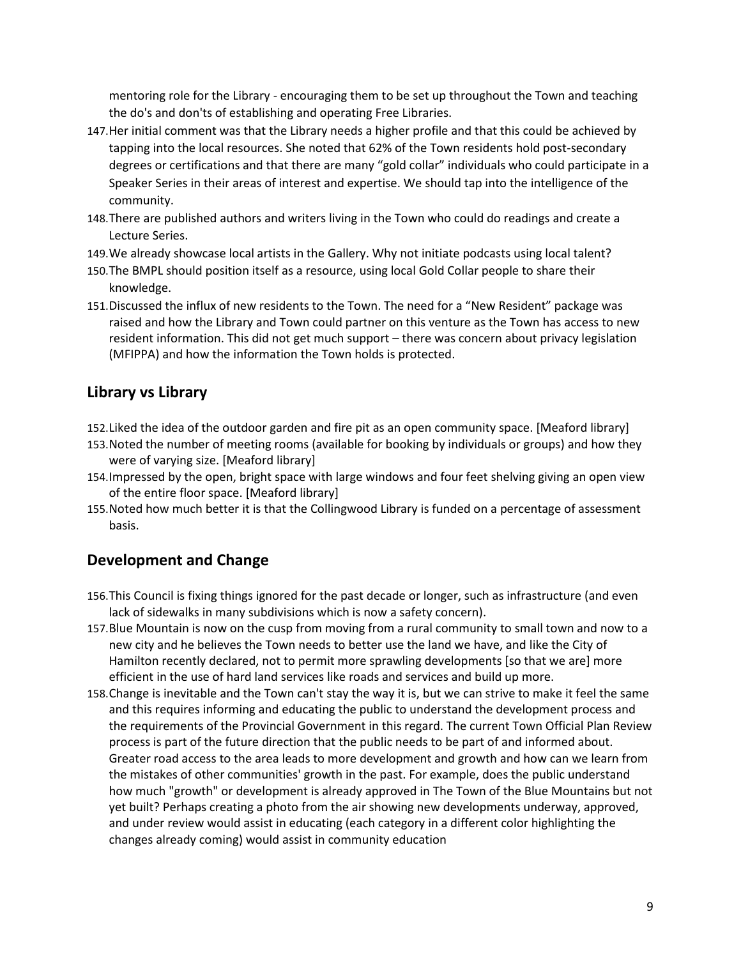mentoring role for the Library - encouraging them to be set up throughout the Town and teaching the do's and don'ts of establishing and operating Free Libraries.

- 147.Her initial comment was that the Library needs a higher profile and that this could be achieved by tapping into the local resources. She noted that 62% of the Town residents hold post-secondary degrees or certifications and that there are many "gold collar" individuals who could participate in a Speaker Series in their areas of interest and expertise. We should tap into the intelligence of the community.
- 148.There are published authors and writers living in the Town who could do readings and create a Lecture Series.
- 149.We already showcase local artists in the Gallery. Why not initiate podcasts using local talent?
- 150.The BMPL should position itself as a resource, using local Gold Collar people to share their knowledge.
- 151.Discussed the influx of new residents to the Town. The need for a "New Resident" package was raised and how the Library and Town could partner on this venture as the Town has access to new resident information. This did not get much support – there was concern about privacy legislation (MFIPPA) and how the information the Town holds is protected.

# **Library vs Library**

- 152.Liked the idea of the outdoor garden and fire pit as an open community space. [Meaford library]
- 153.Noted the number of meeting rooms (available for booking by individuals or groups) and how they were of varying size. [Meaford library]
- 154.Impressed by the open, bright space with large windows and four feet shelving giving an open view of the entire floor space. [Meaford library]
- 155.Noted how much better it is that the Collingwood Library is funded on a percentage of assessment basis.

### **Development and Change**

- 156.This Council is fixing things ignored for the past decade or longer, such as infrastructure (and even lack of sidewalks in many subdivisions which is now a safety concern).
- 157.Blue Mountain is now on the cusp from moving from a rural community to small town and now to a new city and he believes the Town needs to better use the land we have, and like the City of Hamilton recently declared, not to permit more sprawling developments [so that we are] more efficient in the use of hard land services like roads and services and build up more.
- 158.Change is inevitable and the Town can't stay the way it is, but we can strive to make it feel the same and this requires informing and educating the public to understand the development process and the requirements of the Provincial Government in this regard. The current Town Official Plan Review process is part of the future direction that the public needs to be part of and informed about. Greater road access to the area leads to more development and growth and how can we learn from the mistakes of other communities' growth in the past. For example, does the public understand how much "growth" or development is already approved in The Town of the Blue Mountains but not yet built? Perhaps creating a photo from the air showing new developments underway, approved, and under review would assist in educating (each category in a different color highlighting the changes already coming) would assist in community education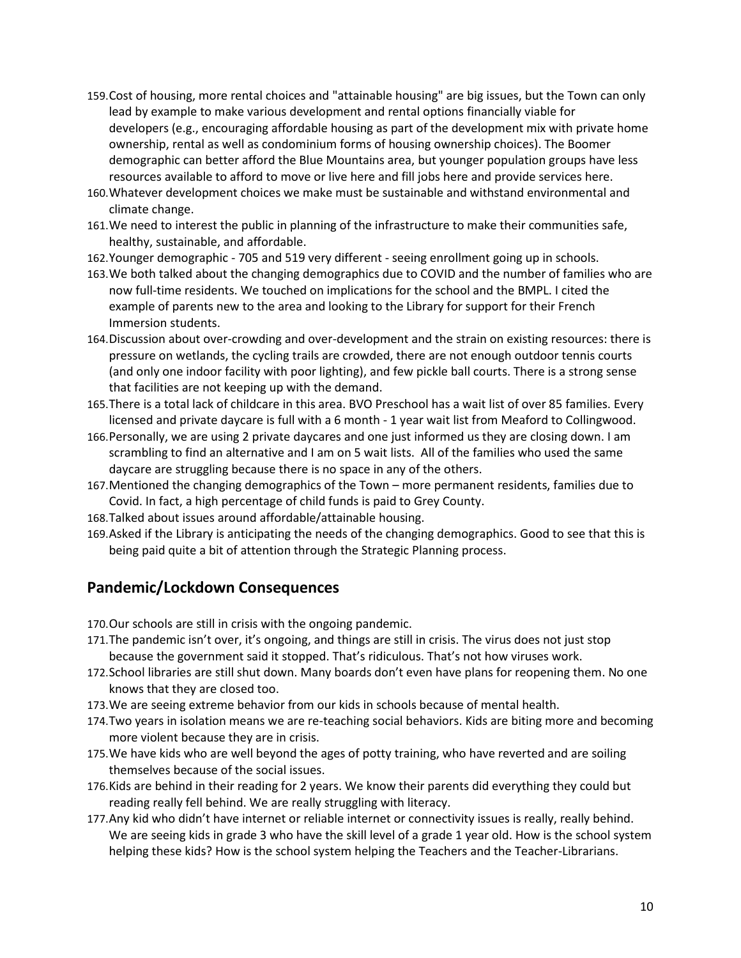- 159.Cost of housing, more rental choices and "attainable housing" are big issues, but the Town can only lead by example to make various development and rental options financially viable for developers (e.g., encouraging affordable housing as part of the development mix with private home ownership, rental as well as condominium forms of housing ownership choices). The Boomer demographic can better afford the Blue Mountains area, but younger population groups have less resources available to afford to move or live here and fill jobs here and provide services here.
- 160.Whatever development choices we make must be sustainable and withstand environmental and climate change.
- 161.We need to interest the public in planning of the infrastructure to make their communities safe, healthy, sustainable, and affordable.
- 162.Younger demographic 705 and 519 very different seeing enrollment going up in schools.
- 163.We both talked about the changing demographics due to COVID and the number of families who are now full-time residents. We touched on implications for the school and the BMPL. I cited the example of parents new to the area and looking to the Library for support for their French Immersion students.
- 164.Discussion about over-crowding and over-development and the strain on existing resources: there is pressure on wetlands, the cycling trails are crowded, there are not enough outdoor tennis courts (and only one indoor facility with poor lighting), and few pickle ball courts. There is a strong sense that facilities are not keeping up with the demand.
- 165.There is a total lack of childcare in this area. BVO Preschool has a wait list of over 85 families. Every licensed and private daycare is full with a 6 month - 1 year wait list from Meaford to Collingwood.
- 166.Personally, we are using 2 private daycares and one just informed us they are closing down. I am scrambling to find an alternative and I am on 5 wait lists. All of the families who used the same daycare are struggling because there is no space in any of the others.
- 167.Mentioned the changing demographics of the Town more permanent residents, families due to Covid. In fact, a high percentage of child funds is paid to Grey County.
- 168.Talked about issues around affordable/attainable housing.
- 169.Asked if the Library is anticipating the needs of the changing demographics. Good to see that this is being paid quite a bit of attention through the Strategic Planning process.

#### **Pandemic/Lockdown Consequences**

170.Our schools are still in crisis with the ongoing pandemic.

- 171.The pandemic isn't over, it's ongoing, and things are still in crisis. The virus does not just stop because the government said it stopped. That's ridiculous. That's not how viruses work.
- 172.School libraries are still shut down. Many boards don't even have plans for reopening them. No one knows that they are closed too.
- 173.We are seeing extreme behavior from our kids in schools because of mental health.
- 174.Two years in isolation means we are re-teaching social behaviors. Kids are biting more and becoming more violent because they are in crisis.
- 175.We have kids who are well beyond the ages of potty training, who have reverted and are soiling themselves because of the social issues.
- 176.Kids are behind in their reading for 2 years. We know their parents did everything they could but reading really fell behind. We are really struggling with literacy.
- 177.Any kid who didn't have internet or reliable internet or connectivity issues is really, really behind. We are seeing kids in grade 3 who have the skill level of a grade 1 year old. How is the school system helping these kids? How is the school system helping the Teachers and the Teacher-Librarians.